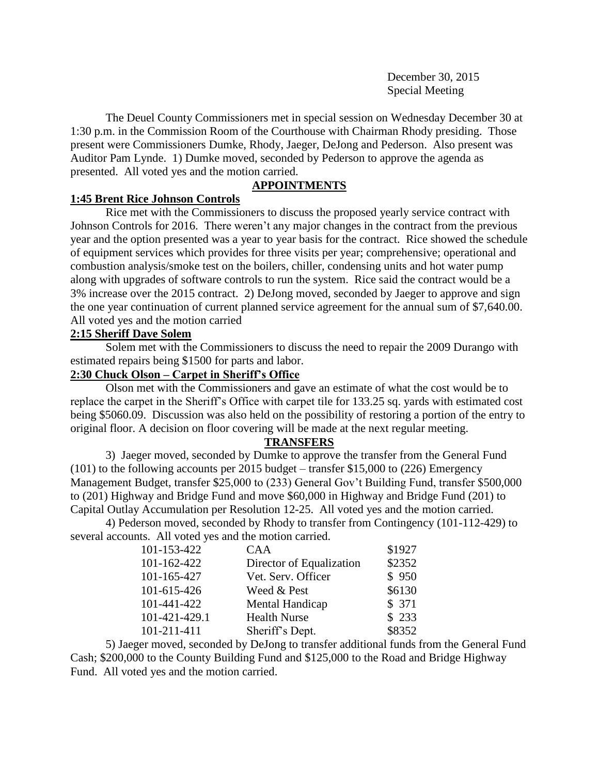December 30, 2015 Special Meeting

The Deuel County Commissioners met in special session on Wednesday December 30 at 1:30 p.m. in the Commission Room of the Courthouse with Chairman Rhody presiding. Those present were Commissioners Dumke, Rhody, Jaeger, DeJong and Pederson. Also present was Auditor Pam Lynde. 1) Dumke moved, seconded by Pederson to approve the agenda as presented. All voted yes and the motion carried.

# **APPOINTMENTS**

# **1:45 Brent Rice Johnson Controls**

Rice met with the Commissioners to discuss the proposed yearly service contract with Johnson Controls for 2016. There weren't any major changes in the contract from the previous year and the option presented was a year to year basis for the contract. Rice showed the schedule of equipment services which provides for three visits per year; comprehensive; operational and combustion analysis/smoke test on the boilers, chiller, condensing units and hot water pump along with upgrades of software controls to run the system. Rice said the contract would be a 3% increase over the 2015 contract. 2) DeJong moved, seconded by Jaeger to approve and sign the one year continuation of current planned service agreement for the annual sum of \$7,640.00. All voted yes and the motion carried

### **2:15 Sheriff Dave Solem**

Solem met with the Commissioners to discuss the need to repair the 2009 Durango with estimated repairs being \$1500 for parts and labor.

# **2:30 Chuck Olson – Carpet in Sheriff's Office**

Olson met with the Commissioners and gave an estimate of what the cost would be to replace the carpet in the Sheriff's Office with carpet tile for 133.25 sq. yards with estimated cost being \$5060.09. Discussion was also held on the possibility of restoring a portion of the entry to original floor. A decision on floor covering will be made at the next regular meeting.

### **TRANSFERS**

3) Jaeger moved, seconded by Dumke to approve the transfer from the General Fund (101) to the following accounts per 2015 budget – transfer \$15,000 to (226) Emergency Management Budget, transfer \$25,000 to (233) General Gov't Building Fund, transfer \$500,000 to (201) Highway and Bridge Fund and move \$60,000 in Highway and Bridge Fund (201) to Capital Outlay Accumulation per Resolution 12-25. All voted yes and the motion carried.

4) Pederson moved, seconded by Rhody to transfer from Contingency (101-112-429) to several accounts. All voted yes and the motion carried.

| <b>CAA</b>               | \$1927 |
|--------------------------|--------|
| Director of Equalization | \$2352 |
| Vet. Serv. Officer       | \$950  |
| Weed & Pest              | \$6130 |
| Mental Handicap          | \$371  |
| <b>Health Nurse</b>      | \$233  |
| Sheriff's Dept.          | \$8352 |
|                          |        |

5) Jaeger moved, seconded by DeJong to transfer additional funds from the General Fund Cash; \$200,000 to the County Building Fund and \$125,000 to the Road and Bridge Highway Fund. All voted yes and the motion carried.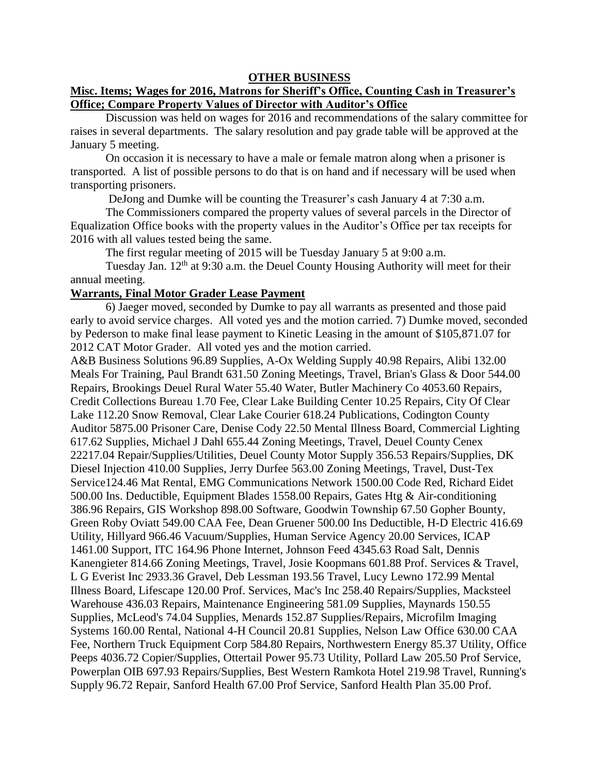#### **OTHER BUSINESS**

### **Misc. Items; Wages for 2016, Matrons for Sheriff's Office, Counting Cash in Treasurer's Office; Compare Property Values of Director with Auditor's Office**

Discussion was held on wages for 2016 and recommendations of the salary committee for raises in several departments. The salary resolution and pay grade table will be approved at the January 5 meeting.

On occasion it is necessary to have a male or female matron along when a prisoner is transported. A list of possible persons to do that is on hand and if necessary will be used when transporting prisoners.

DeJong and Dumke will be counting the Treasurer's cash January 4 at 7:30 a.m.

The Commissioners compared the property values of several parcels in the Director of Equalization Office books with the property values in the Auditor's Office per tax receipts for 2016 with all values tested being the same.

The first regular meeting of 2015 will be Tuesday January 5 at 9:00 a.m.

Tuesday Jan. 12<sup>th</sup> at 9:30 a.m. the Deuel County Housing Authority will meet for their annual meeting.

#### **Warrants, Final Motor Grader Lease Payment**

6) Jaeger moved, seconded by Dumke to pay all warrants as presented and those paid early to avoid service charges. All voted yes and the motion carried. 7) Dumke moved, seconded by Pederson to make final lease payment to Kinetic Leasing in the amount of \$105,871.07 for 2012 CAT Motor Grader. All voted yes and the motion carried.

A&B Business Solutions 96.89 Supplies, A-Ox Welding Supply 40.98 Repairs, Alibi 132.00 Meals For Training, Paul Brandt 631.50 Zoning Meetings, Travel, Brian's Glass & Door 544.00 Repairs, Brookings Deuel Rural Water 55.40 Water, Butler Machinery Co 4053.60 Repairs, Credit Collections Bureau 1.70 Fee, Clear Lake Building Center 10.25 Repairs, City Of Clear Lake 112.20 Snow Removal, Clear Lake Courier 618.24 Publications, Codington County Auditor 5875.00 Prisoner Care, Denise Cody 22.50 Mental Illness Board, Commercial Lighting 617.62 Supplies, Michael J Dahl 655.44 Zoning Meetings, Travel, Deuel County Cenex 22217.04 Repair/Supplies/Utilities, Deuel County Motor Supply 356.53 Repairs/Supplies, DK Diesel Injection 410.00 Supplies, Jerry Durfee 563.00 Zoning Meetings, Travel, Dust-Tex Service124.46 Mat Rental, EMG Communications Network 1500.00 Code Red, Richard Eidet 500.00 Ins. Deductible, Equipment Blades 1558.00 Repairs, Gates Htg & Air-conditioning 386.96 Repairs, GIS Workshop 898.00 Software, Goodwin Township 67.50 Gopher Bounty, Green Roby Oviatt 549.00 CAA Fee, Dean Gruener 500.00 Ins Deductible, H-D Electric 416.69 Utility, Hillyard 966.46 Vacuum/Supplies, Human Service Agency 20.00 Services, ICAP 1461.00 Support, ITC 164.96 Phone Internet, Johnson Feed 4345.63 Road Salt, Dennis Kanengieter 814.66 Zoning Meetings, Travel, Josie Koopmans 601.88 Prof. Services & Travel, L G Everist Inc 2933.36 Gravel, Deb Lessman 193.56 Travel, Lucy Lewno 172.99 Mental Illness Board, Lifescape 120.00 Prof. Services, Mac's Inc 258.40 Repairs/Supplies, Macksteel Warehouse 436.03 Repairs, Maintenance Engineering 581.09 Supplies, Maynards 150.55 Supplies, McLeod's 74.04 Supplies, Menards 152.87 Supplies/Repairs, Microfilm Imaging Systems 160.00 Rental, National 4-H Council 20.81 Supplies, Nelson Law Office 630.00 CAA Fee, Northern Truck Equipment Corp 584.80 Repairs, Northwestern Energy 85.37 Utility, Office Peeps 4036.72 Copier/Supplies, Ottertail Power 95.73 Utility, Pollard Law 205.50 Prof Service, Powerplan OIB 697.93 Repairs/Supplies, Best Western Ramkota Hotel 219.98 Travel, Running's Supply 96.72 Repair, Sanford Health 67.00 Prof Service, Sanford Health Plan 35.00 Prof.